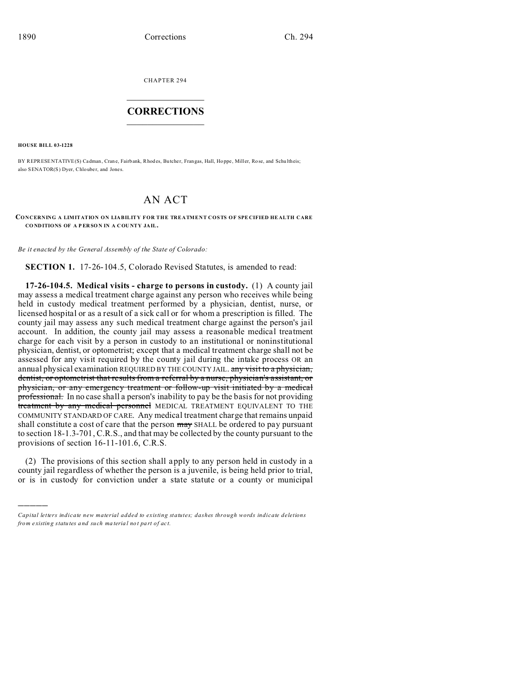CHAPTER 294  $\overline{\phantom{a}}$  , where  $\overline{\phantom{a}}$ 

## **CORRECTIONS**  $\frac{1}{2}$  ,  $\frac{1}{2}$  ,  $\frac{1}{2}$  ,  $\frac{1}{2}$  ,  $\frac{1}{2}$  ,  $\frac{1}{2}$

**HOUSE BILL 03-1228**

)))))

BY REPRESENTATIVE(S) Cadman, Cran e, Fairbank, Rhod es, Butche r, Frangas, Hall, Ho ppe , Miller, Ro se, and Schu ltheis; also SENATOR(S) Dver, Chlouber, and Jones.

## AN ACT

## **CONCERNING A LIMITATION ON LIABILITY FOR THE TREATMENT COSTS OF SPE CIFIED HE ALTH CARE CO NDITIONS OF A P ER SO N IN A COU NTY JAIL.**

*Be it enacted by the General Assembly of the State of Colorado:*

**SECTION 1.** 17-26-104.5, Colorado Revised Statutes, is amended to read:

**17-26-104.5. Medical visits - charge to persons in custody.** (1) A county jail may assess a medical treatment charge against any person who receives while being held in custody medical treatment performed by a physician, dentist, nurse, or licensed hospital or as a result of a sick call or for whom a prescription is filled. The county jail may assess any such medical treatment charge against the person's jail account. In addition, the county jail may assess a reasonable medical treatment charge for each visit by a person in custody to an institutional or noninstitutional physician, dentist, or optometrist; except that a medical treatment charge shall not be assessed for any visit required by the county jail during the intake process OR an annual physical examination REQUIRED BY THE COUNTY JAIL. any visit to a physician, dentist, or optometrist that results from a referral by a nurse, physician's assistant, or physician, or any emergency treatment or follow-up visit initiated by a medical professional. In no case shall a person's inability to pay be the basis for not providing treatment by any medical personnel MEDICAL TREATMENT EQUIVALENT TO THE COMMUNITY STANDARD OF CARE. Any medical treatment charge that remains unpaid shall constitute a cost of care that the person  $\frac{m}{dy}$  SHALL be ordered to pay pursuant to section 18-1.3-701, C.R.S., and that may be collected by the county pursuant to the provisions of section 16-11-101.6, C.R.S.

(2) The provisions of this section shall apply to any person held in custody in a county jail regardless of whether the person is a juvenile, is being held prior to trial, or is in custody for conviction under a state statute or a county or municipal

*Capital letters indicate new material added to existing statutes; dashes through words indicate deletions from e xistin g statu tes a nd such ma teria l no t pa rt of ac t.*